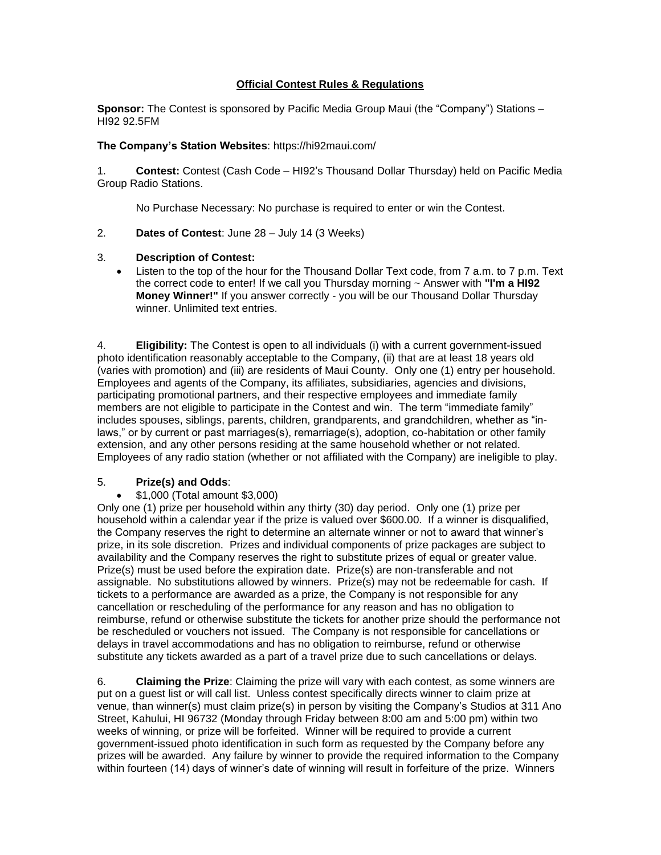# **Official Contest Rules & Regulations**

**Sponsor:** The Contest is sponsored by Pacific Media Group Maui (the "Company") Stations – HI92 92.5FM

## **The Company's Station Websites**: https://hi92maui.com/

1. **Contest:** Contest (Cash Code – HI92's Thousand Dollar Thursday) held on Pacific Media Group Radio Stations.

No Purchase Necessary: No purchase is required to enter or win the Contest.

2. **Dates of Contest**: June 28 – July 14 (3 Weeks)

## 3. **Description of Contest:**

• Listen to the top of the hour for the Thousand Dollar Text code, from 7 a.m. to 7 p.m. Text the correct code to enter! If we call you Thursday morning ~ Answer with **"I'm a HI92 Money Winner!"** If you answer correctly - you will be our Thousand Dollar Thursday winner. Unlimited text entries.

4. **Eligibility:** The Contest is open to all individuals (i) with a current government-issued photo identification reasonably acceptable to the Company, (ii) that are at least 18 years old (varies with promotion) and (iii) are residents of Maui County. Only one (1) entry per household. Employees and agents of the Company, its affiliates, subsidiaries, agencies and divisions, participating promotional partners, and their respective employees and immediate family members are not eligible to participate in the Contest and win. The term "immediate family" includes spouses, siblings, parents, children, grandparents, and grandchildren, whether as "inlaws," or by current or past marriages(s), remarriage(s), adoption, co-habitation or other family extension, and any other persons residing at the same household whether or not related. Employees of any radio station (whether or not affiliated with the Company) are ineligible to play.

## 5. **Prize(s) and Odds**:

## • \$1,000 (Total amount \$3,000)

Only one (1) prize per household within any thirty (30) day period. Only one (1) prize per household within a calendar year if the prize is valued over \$600.00. If a winner is disqualified, the Company reserves the right to determine an alternate winner or not to award that winner's prize, in its sole discretion. Prizes and individual components of prize packages are subject to availability and the Company reserves the right to substitute prizes of equal or greater value. Prize(s) must be used before the expiration date. Prize(s) are non-transferable and not assignable. No substitutions allowed by winners. Prize(s) may not be redeemable for cash. If tickets to a performance are awarded as a prize, the Company is not responsible for any cancellation or rescheduling of the performance for any reason and has no obligation to reimburse, refund or otherwise substitute the tickets for another prize should the performance not be rescheduled or vouchers not issued. The Company is not responsible for cancellations or delays in travel accommodations and has no obligation to reimburse, refund or otherwise substitute any tickets awarded as a part of a travel prize due to such cancellations or delays.

6. **Claiming the Prize**: Claiming the prize will vary with each contest, as some winners are put on a guest list or will call list. Unless contest specifically directs winner to claim prize at venue, than winner(s) must claim prize(s) in person by visiting the Company's Studios at 311 Ano Street, Kahului, HI 96732 (Monday through Friday between 8:00 am and 5:00 pm) within two weeks of winning, or prize will be forfeited. Winner will be required to provide a current government-issued photo identification in such form as requested by the Company before any prizes will be awarded. Any failure by winner to provide the required information to the Company within fourteen (14) days of winner's date of winning will result in forfeiture of the prize. Winners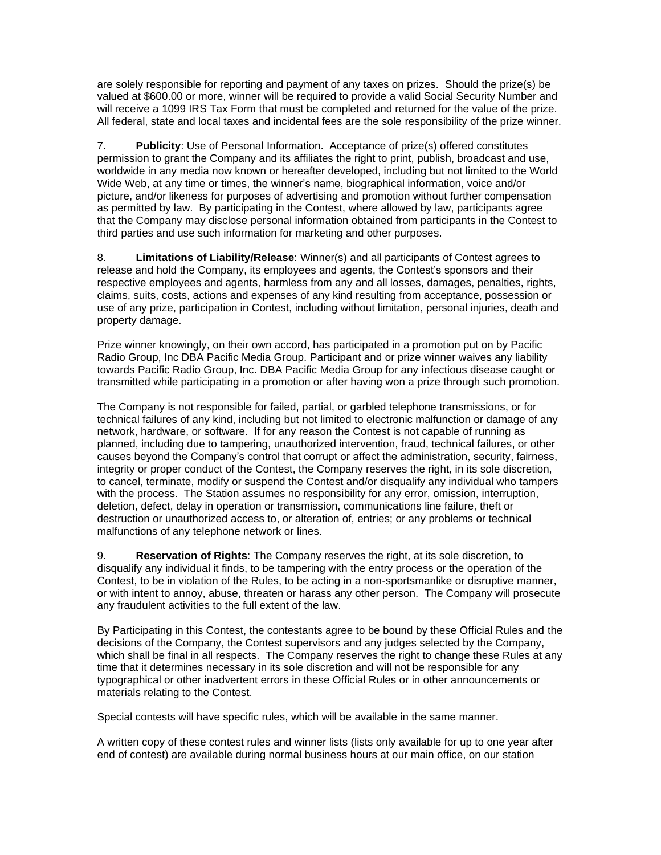are solely responsible for reporting and payment of any taxes on prizes. Should the prize(s) be valued at \$600.00 or more, winner will be required to provide a valid Social Security Number and will receive a 1099 IRS Tax Form that must be completed and returned for the value of the prize. All federal, state and local taxes and incidental fees are the sole responsibility of the prize winner.

7. **Publicity**: Use of Personal Information. Acceptance of prize(s) offered constitutes permission to grant the Company and its affiliates the right to print, publish, broadcast and use, worldwide in any media now known or hereafter developed, including but not limited to the World Wide Web, at any time or times, the winner's name, biographical information, voice and/or picture, and/or likeness for purposes of advertising and promotion without further compensation as permitted by law. By participating in the Contest, where allowed by law, participants agree that the Company may disclose personal information obtained from participants in the Contest to third parties and use such information for marketing and other purposes.

8. **Limitations of Liability/Release**: Winner(s) and all participants of Contest agrees to release and hold the Company, its employees and agents, the Contest's sponsors and their respective employees and agents, harmless from any and all losses, damages, penalties, rights, claims, suits, costs, actions and expenses of any kind resulting from acceptance, possession or use of any prize, participation in Contest, including without limitation, personal injuries, death and property damage.

Prize winner knowingly, on their own accord, has participated in a promotion put on by Pacific Radio Group, Inc DBA Pacific Media Group. Participant and or prize winner waives any liability towards Pacific Radio Group, Inc. DBA Pacific Media Group for any infectious disease caught or transmitted while participating in a promotion or after having won a prize through such promotion.

The Company is not responsible for failed, partial, or garbled telephone transmissions, or for technical failures of any kind, including but not limited to electronic malfunction or damage of any network, hardware, or software. If for any reason the Contest is not capable of running as planned, including due to tampering, unauthorized intervention, fraud, technical failures, or other causes beyond the Company's control that corrupt or affect the administration, security, fairness, integrity or proper conduct of the Contest, the Company reserves the right, in its sole discretion, to cancel, terminate, modify or suspend the Contest and/or disqualify any individual who tampers with the process. The Station assumes no responsibility for any error, omission, interruption, deletion, defect, delay in operation or transmission, communications line failure, theft or destruction or unauthorized access to, or alteration of, entries; or any problems or technical malfunctions of any telephone network or lines.

9. **Reservation of Rights**: The Company reserves the right, at its sole discretion, to disqualify any individual it finds, to be tampering with the entry process or the operation of the Contest, to be in violation of the Rules, to be acting in a non-sportsmanlike or disruptive manner, or with intent to annoy, abuse, threaten or harass any other person. The Company will prosecute any fraudulent activities to the full extent of the law.

By Participating in this Contest, the contestants agree to be bound by these Official Rules and the decisions of the Company, the Contest supervisors and any judges selected by the Company, which shall be final in all respects. The Company reserves the right to change these Rules at any time that it determines necessary in its sole discretion and will not be responsible for any typographical or other inadvertent errors in these Official Rules or in other announcements or materials relating to the Contest.

Special contests will have specific rules, which will be available in the same manner.

A written copy of these contest rules and winner lists (lists only available for up to one year after end of contest) are available during normal business hours at our main office, on our station